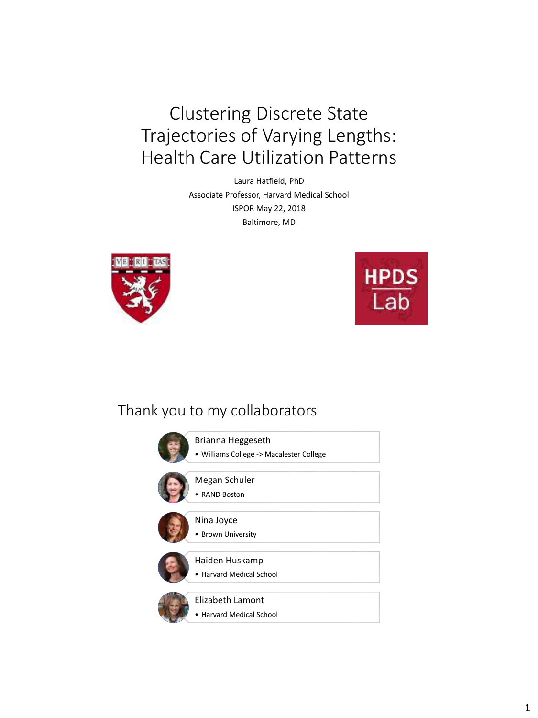Clustering Discrete State Trajectories of Varying Lengths: Health Care Utilization Patterns

> Laura Hatfield, PhD Associate Professor, Harvard Medical School ISPOR May 22, 2018 Baltimore, MD





#### Thank you to my collaborators

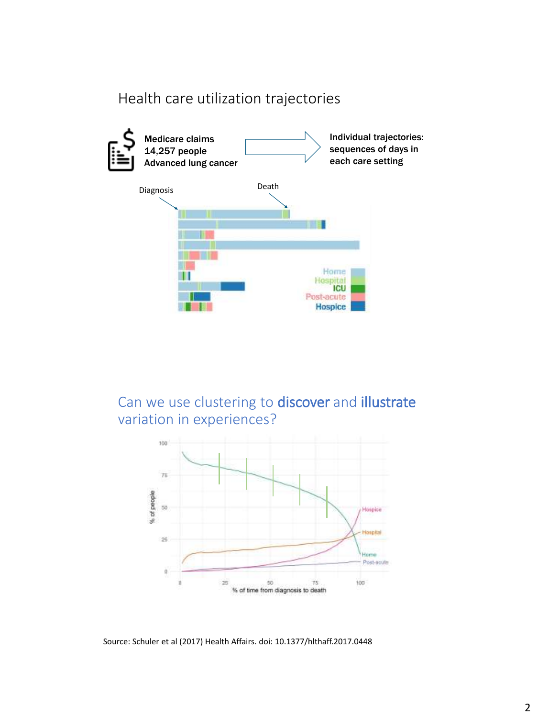#### Health care utilization trajectories



Can we use clustering to discover and illustrate variation in experiences?



Source: Schuler et al (2017) Health Affairs. doi: 10.1377/hlthaff.2017.0448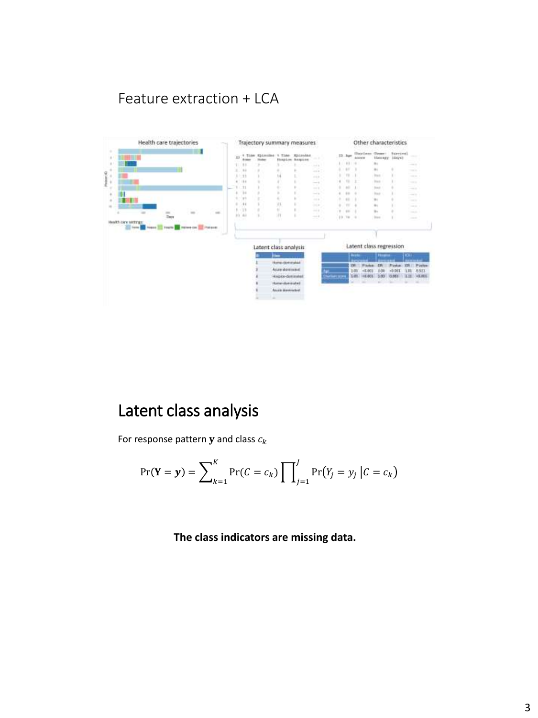## Feature extraction + LCA



# Latent class analysis

For response pattern  $y$  and class  $c_k$ 

$$
\Pr(\mathbf{Y} = \mathbf{y}) = \sum_{k=1}^{K} \Pr(C = c_k) \prod_{j=1}^{J} \Pr(Y_j = y_j \mid C = c_k)
$$

**The class indicators are missing data.**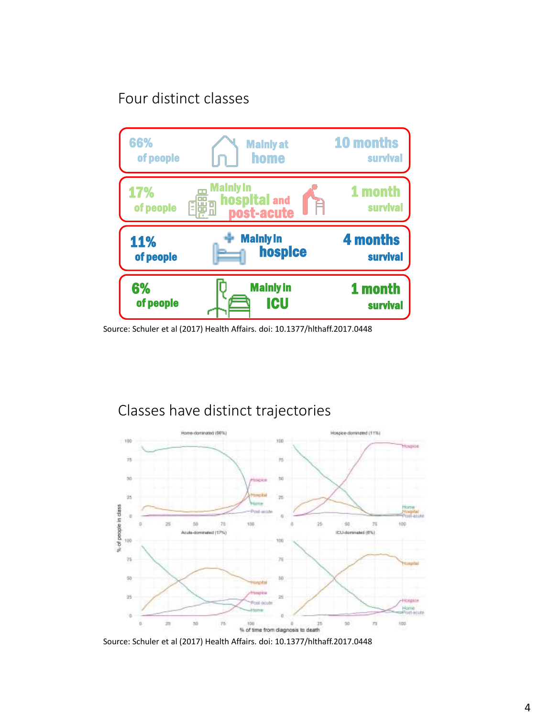## Four distinct classes



Source: Schuler et al (2017) Health Affairs. doi: 10.1377/hlthaff.2017.0448



# Classes have distinct trajectories

Source: Schuler et al (2017) Health Affairs. doi: 10.1377/hlthaff.2017.0448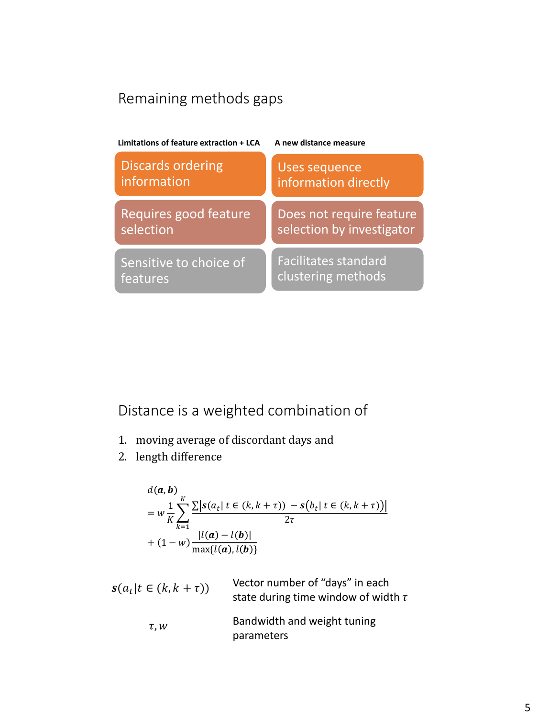# Remaining methods gaps



Distance is a weighted combination of

- 1. moving average of discordant days and
- 2. length difference

$$
d(a, b)
$$
  
=  $w \frac{1}{K} \sum_{k=1}^{K} \frac{\sum |s(a_t| \ t \in (k, k + \tau)) - s(b_t| \ t \in (k, k + \tau))|}{2\tau}$   
+  $(1 - w) \frac{|l(a) - l(b)|}{\max\{l(a), l(b)\}}$ 

 $s(a_t | t \in (k, k + \tau))$ Vector number of "days" in each state during time window of width  $\tau$  $\tau$ ,  $w$ Bandwidth and weight tuning parameters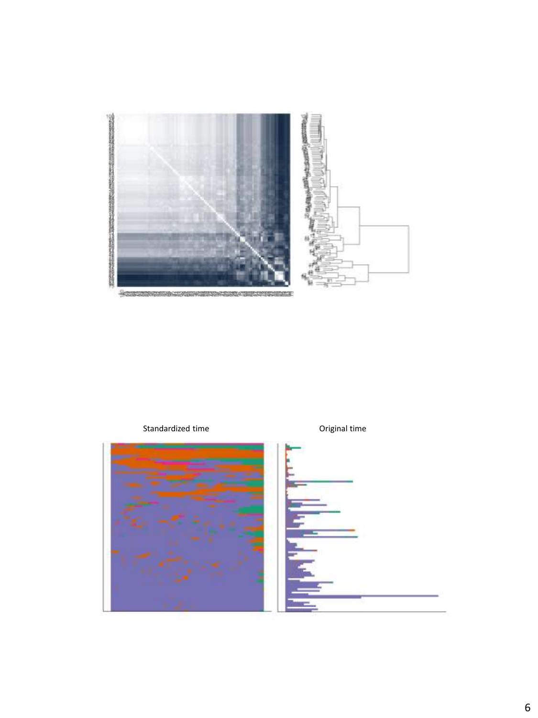

Standardized time **Standardized** time